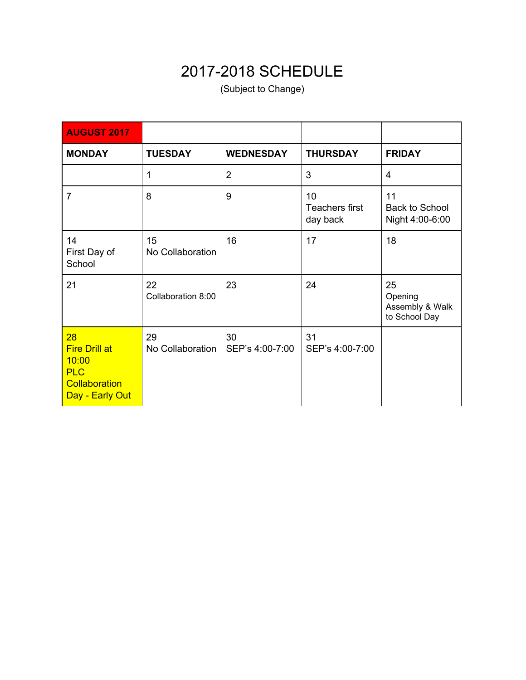## 2017-2018 SCHEDULE

(Subject to Change)

| <b>AUGUST 2017</b>                                                                    |                          |                       |                                  |                                                   |
|---------------------------------------------------------------------------------------|--------------------------|-----------------------|----------------------------------|---------------------------------------------------|
| <b>MONDAY</b>                                                                         | <b>TUESDAY</b>           | <b>WEDNESDAY</b>      | <b>THURSDAY</b>                  | <b>FRIDAY</b>                                     |
|                                                                                       | 1                        | $\overline{2}$        | 3                                | 4                                                 |
| $\overline{7}$                                                                        | 8                        | 9                     | 10<br>Teachers first<br>day back | 11<br><b>Back to School</b><br>Night 4:00-6:00    |
| 14<br>First Day of<br>School                                                          | 15<br>No Collaboration   | 16                    | 17                               | 18                                                |
| 21                                                                                    | 22<br>Collaboration 8:00 | 23                    | 24                               | 25<br>Opening<br>Assembly & Walk<br>to School Day |
| 28<br><b>Fire Drill at</b><br>10:00<br><b>PLC</b><br>Collaboration<br>Day - Early Out | 29<br>No Collaboration   | 30<br>SEP's 4:00-7:00 | 31<br>SEP's 4:00-7:00            |                                                   |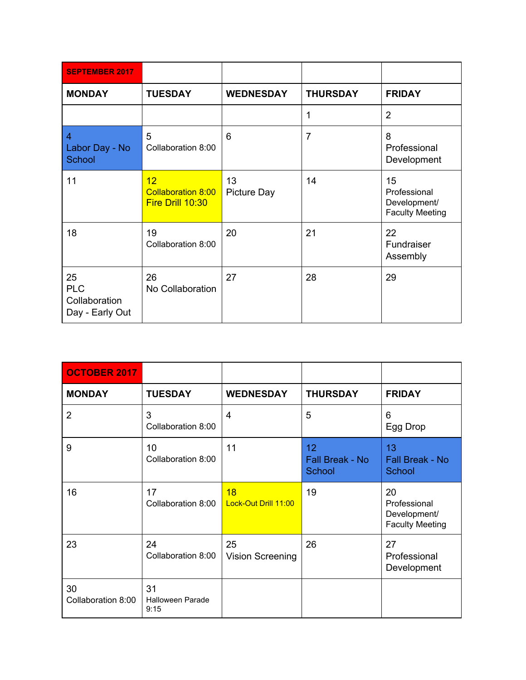| <b>SEPTEMBER 2017</b>                                |                                                     |                   |                 |                                                              |
|------------------------------------------------------|-----------------------------------------------------|-------------------|-----------------|--------------------------------------------------------------|
| <b>MONDAY</b>                                        | <b>TUESDAY</b>                                      | <b>WEDNESDAY</b>  | <b>THURSDAY</b> | <b>FRIDAY</b>                                                |
|                                                      |                                                     |                   | 1               | $\overline{2}$                                               |
| $\overline{4}$<br>Labor Day - No<br>School           | 5<br>Collaboration 8:00                             | 6                 | $\overline{7}$  | 8<br>Professional<br>Development                             |
| 11                                                   | 12<br><b>Collaboration 8:00</b><br>Fire Drill 10:30 | 13<br>Picture Day | 14              | 15<br>Professional<br>Development/<br><b>Faculty Meeting</b> |
| 18                                                   | 19<br>Collaboration 8:00                            | 20                | 21              | 22<br>Fundraiser<br>Assembly                                 |
| 25<br><b>PLC</b><br>Collaboration<br>Day - Early Out | 26<br>No Collaboration                              | 27                | 28              | 29                                                           |

| <b>OCTOBER 2017</b>      |                                       |                               |                                        |                                                              |
|--------------------------|---------------------------------------|-------------------------------|----------------------------------------|--------------------------------------------------------------|
| <b>MONDAY</b>            | <b>TUESDAY</b>                        | <b>WEDNESDAY</b>              | <b>THURSDAY</b>                        | <b>FRIDAY</b>                                                |
| $\overline{2}$           | 3<br>Collaboration 8:00               | $\overline{4}$                | 5                                      | 6<br>Egg Drop                                                |
| 9                        | 10<br>Collaboration 8:00              | 11                            | 12<br>Fall Break - No<br><b>School</b> | 13<br><b>Fall Break - No</b><br>School                       |
| 16                       | 17<br>Collaboration 8:00              | 18<br>Lock-Out Drill 11:00    | 19                                     | 20<br>Professional<br>Development/<br><b>Faculty Meeting</b> |
| 23                       | 24<br>Collaboration 8:00              | 25<br><b>Vision Screening</b> | 26                                     | 27<br>Professional<br>Development                            |
| 30<br>Collaboration 8:00 | 31<br><b>Halloween Parade</b><br>9:15 |                               |                                        |                                                              |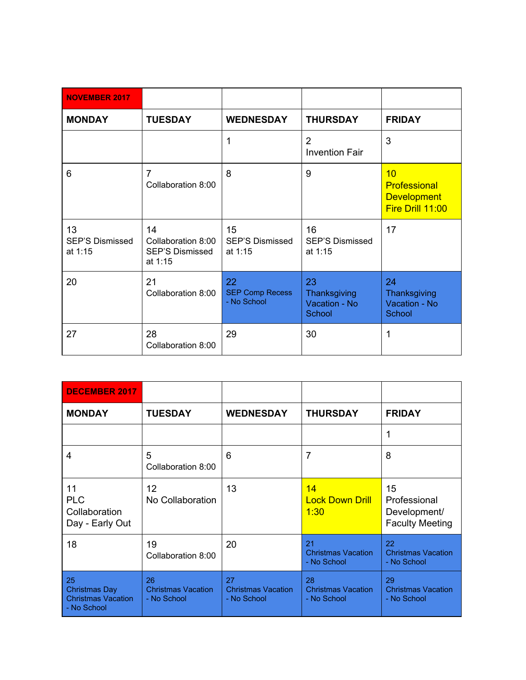| <b>NOVEMBER 2017</b>                    |                                                               |                                             |                                               |                                                                     |
|-----------------------------------------|---------------------------------------------------------------|---------------------------------------------|-----------------------------------------------|---------------------------------------------------------------------|
| <b>MONDAY</b>                           | <b>TUESDAY</b>                                                | <b>WEDNESDAY</b>                            | <b>THURSDAY</b>                               | <b>FRIDAY</b>                                                       |
|                                         |                                                               | 1                                           | $\overline{2}$<br><b>Invention Fair</b>       | 3                                                                   |
| 6                                       | $\overline{7}$<br>Collaboration 8:00                          | 8                                           | 9                                             | 10<br><b>Professional</b><br><b>Development</b><br>Fire Drill 11:00 |
| 13<br><b>SEP'S Dismissed</b><br>at 1:15 | 14<br>Collaboration 8:00<br><b>SEP'S Dismissed</b><br>at 1:15 | 15<br><b>SEP'S Dismissed</b><br>at 1:15     | 16<br><b>SEP'S Dismissed</b><br>at 1:15       | 17                                                                  |
| 20                                      | 21<br>Collaboration 8:00                                      | 22<br><b>SEP Comp Recess</b><br>- No School | 23<br>Thanksgiving<br>Vacation - No<br>School | 24<br>Thanksgiving<br>Vacation - No<br>School                       |
| 27                                      | 28<br>Collaboration 8:00                                      | 29                                          | 30                                            | 1                                                                   |

| <b>DECEMBER 2017</b>                                                   |                                                |                                                |                                                |                                                              |
|------------------------------------------------------------------------|------------------------------------------------|------------------------------------------------|------------------------------------------------|--------------------------------------------------------------|
| <b>MONDAY</b>                                                          | <b>TUESDAY</b>                                 | <b>WEDNESDAY</b>                               | <b>THURSDAY</b>                                | <b>FRIDAY</b>                                                |
|                                                                        |                                                |                                                |                                                | 1                                                            |
| 4                                                                      | 5<br>Collaboration 8:00                        | 6                                              | 7                                              | 8                                                            |
| 11<br><b>PLC</b><br>Collaboration<br>Day - Early Out                   | 12<br>No Collaboration                         | 13                                             | 14<br><b>Lock Down Drill</b><br>1:30           | 15<br>Professional<br>Development/<br><b>Faculty Meeting</b> |
| 18                                                                     | 19<br>Collaboration 8:00                       | 20                                             | 21<br><b>Christmas Vacation</b><br>- No School | 22<br><b>Christmas Vacation</b><br>- No School               |
| 25<br><b>Christmas Day</b><br><b>Christmas Vacation</b><br>- No School | 26<br><b>Christmas Vacation</b><br>- No School | 27<br><b>Christmas Vacation</b><br>- No School | 28<br><b>Christmas Vacation</b><br>- No School | 29<br><b>Christmas Vacation</b><br>- No School               |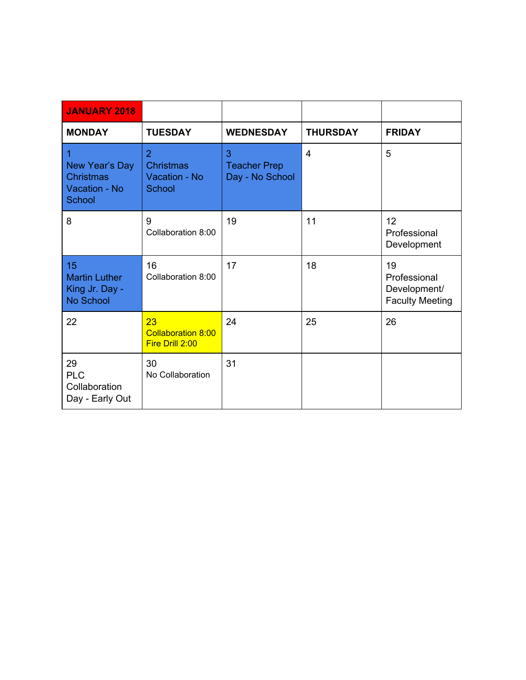| <b>JANUARY 2018</b>                                         |                                                               |                                             |                 |                                                              |
|-------------------------------------------------------------|---------------------------------------------------------------|---------------------------------------------|-----------------|--------------------------------------------------------------|
| <b>MONDAY</b>                                               | <b>TUESDAY</b>                                                | <b>WEDNESDAY</b>                            | <b>THURSDAY</b> | <b>FRIDAY</b>                                                |
| 1<br>New Year's Day<br>Christmas<br>Vacation - No<br>School | $\overline{2}$<br><b>Christmas</b><br>Vacation - No<br>School | 3<br><b>Teacher Prep</b><br>Day - No School | $\overline{4}$  | 5                                                            |
| 8                                                           | 9<br>Collaboration 8:00                                       | 19                                          | 11              | 12<br>Professional<br>Development                            |
| 15<br><b>Martin Luther</b><br>King Jr. Day -<br>No School   | 16<br>Collaboration 8:00                                      | 17                                          | 18              | 19<br>Professional<br>Development/<br><b>Faculty Meeting</b> |
| 22                                                          | 23<br><b>Collaboration 8:00</b><br>Fire Drill 2:00            | 24                                          | 25              | 26                                                           |
| 29<br><b>PLC</b><br>Collaboration<br>Day - Early Out        | 30<br>No Collaboration                                        | 31                                          |                 |                                                              |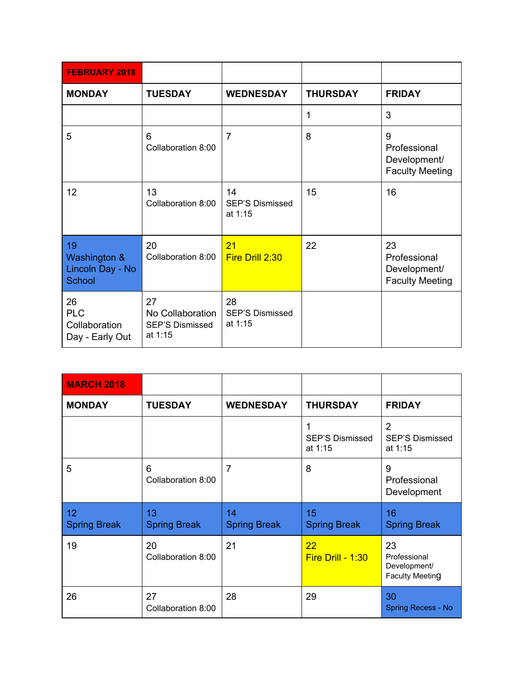| <b>FEBRUARY 2018</b>                                    |                                                             |                                         |                 |                                                              |
|---------------------------------------------------------|-------------------------------------------------------------|-----------------------------------------|-----------------|--------------------------------------------------------------|
| <b>MONDAY</b>                                           | <b>TUESDAY</b>                                              | <b>WEDNESDAY</b>                        | <b>THURSDAY</b> | <b>FRIDAY</b>                                                |
|                                                         |                                                             |                                         | 1               | 3                                                            |
| 5                                                       | 6<br>Collaboration 8:00                                     | $\overline{7}$                          | 8               | 9<br>Professional<br>Development/<br><b>Faculty Meeting</b>  |
| 12                                                      | 13<br>Collaboration 8:00                                    | 14<br><b>SEP'S Dismissed</b><br>at 1:15 | 15              | 16                                                           |
| 19<br>Washington &<br>Lincoln Day - No<br><b>School</b> | 20<br>Collaboration 8:00                                    | 21<br>Fire Drill 2:30                   | 22              | 23<br>Professional<br>Development/<br><b>Faculty Meeting</b> |
| 26<br><b>PLC</b><br>Collaboration<br>Day - Early Out    | 27<br>No Collaboration<br><b>SEP'S Dismissed</b><br>at 1:15 | 28<br><b>SEP'S Dismissed</b><br>at 1:15 |                 |                                                              |

| <b>MARCH 2018</b>                      |                           |                           |                                        |                                                              |
|----------------------------------------|---------------------------|---------------------------|----------------------------------------|--------------------------------------------------------------|
| <b>MONDAY</b>                          | <b>TUESDAY</b>            | <b>WEDNESDAY</b>          | <b>THURSDAY</b>                        | <b>FRIDAY</b>                                                |
|                                        |                           |                           | 1<br><b>SEP'S Dismissed</b><br>at 1:15 | $\overline{2}$<br><b>SEP'S Dismissed</b><br>at 1:15          |
| 5                                      | 6<br>Collaboration 8:00   | 7                         | 8                                      | 9<br>Professional<br>Development                             |
| 12 <sup>2</sup><br><b>Spring Break</b> | 13<br><b>Spring Break</b> | 14<br><b>Spring Break</b> | 15<br><b>Spring Break</b>              | 16<br><b>Spring Break</b>                                    |
| 19                                     | 20<br>Collaboration 8:00  | 21                        | 22<br>Fire Drill - 1:30                | 23<br>Professional<br>Development/<br><b>Faculty Meeting</b> |
| 26                                     | 27<br>Collaboration 8:00  | 28                        | 29                                     | 30<br>Spring Recess - No                                     |